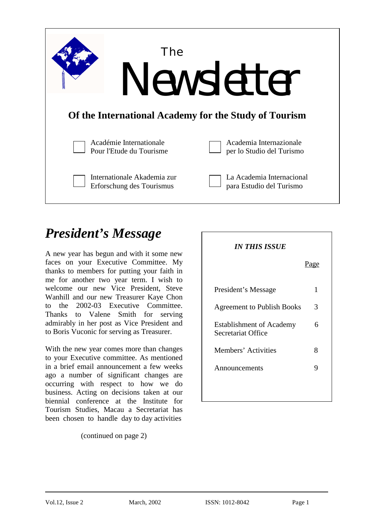

# *President's Message*

A new year has begun and with it some new faces on your Executive Committee. My thanks to members for putting your faith in me for another two year term. I wish to welcome our new Vice President, Steve Wanhill and our new Treasurer Kaye Chon to the 2002-03 Executive Committee. Thanks to Valene Smith for serving admirably in her post as Vice President and to Boris Vuconic for serving as Treasurer.

With the new year comes more than changes to your Executive committee. As mentioned in a brief email announcement a few weeks ago a number of significant changes are occurring with respect to how we do business. Acting on decisions taken at our biennial conference at the Institute for Tourism Studies, Macau a Secretariat has been chosen to handle day to day activities

(continued on page 2)

| <b>IN THIS ISSUE</b>                                  |             |
|-------------------------------------------------------|-------------|
|                                                       | <u>Page</u> |
| President's Message                                   | 1           |
| <b>Agreement to Publish Books</b>                     | 3           |
| <b>Establishment of Academy</b><br>Secretariat Office | 6           |
| Members' Activities                                   | 8           |
| Announcements                                         | 9           |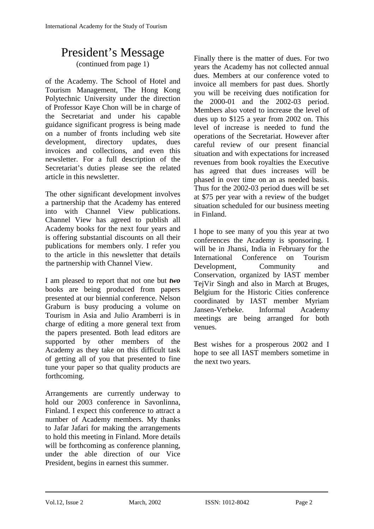## President's Message (continued from page 1)

of the Academy. The School of Hotel and Tourism Management, The Hong Kong Polytechnic University under the direction of Professor Kaye Chon will be in charge of the Secretariat and under his capable guidance significant progress is being made on a number of fronts including web site development, directory updates, dues invoices and collections, and even this newsletter. For a full description of the Secretariat's duties please see the related article in this newsletter.

The other significant development involves a partnership that the Academy has entered into with Channel View publications. Channel View has agreed to publish all Academy books for the next four years and is offering substantial discounts on all their publications for members only. I refer you to the article in this newsletter that details the partnership with Channel View.

I am pleased to report that not one but *two* books are being produced from papers presented at our biennial conference. Nelson Graburn is busy producing a volume on Tourism in Asia and Julio Aramberri is in charge of editing a more general text from the papers presented. Both lead editors are supported by other members of the Academy as they take on this difficult task of getting all of you that presented to fine tune your paper so that quality products are forthcoming.

Arrangements are currently underway to hold our 2003 conference in Savonlinna, Finland. I expect this conference to attract a number of Academy members. My thanks to Jafar Jafari for making the arrangements to hold this meeting in Finland. More details will be forthcoming as conference planning. under the able direction of our Vice President, begins in earnest this summer.

Finally there is the matter of dues. For two years the Academy has not collected annual dues. Members at our conference voted to invoice all members for past dues. Shortly you will be receiving dues notification for the 2000-01 and the 2002-03 period. Members also voted to increase the level of dues up to \$125 a year from 2002 on. This level of increase is needed to fund the operations of the Secretariat. However after careful review of our present financial situation and with expectations for increased revenues from book royalties the Executive has agreed that dues increases will be phased in over time on an as needed basis. Thus for the 2002-03 period dues will be set at \$75 per year with a review of the budget situation scheduled for our business meeting in Finland.

I hope to see many of you this year at two conferences the Academy is sponsoring. I will be in Jhansi, India in February for the International Conference on Tourism Development, Community and Conservation, organized by IAST member TejVir Singh and also in March at Bruges, Belgium for the Historic Cities conference coordinated by IAST member Myriam Jansen-Verbeke. Informal Academy meetings are being arranged for both venues.

Best wishes for a prosperous 2002 and I hope to see all IAST members sometime in the next two years.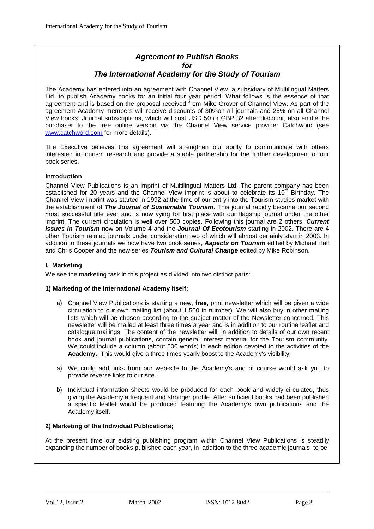### *Agreement to Publish Books for The International Academy for the Study of Tourism*

The Academy has entered into an agreement with Channel View, a subsidiary of Multilingual Matters Ltd. to publish Academy books for an initial four year period. What follows is the essence of that agreement and is based on the proposal received from Mike Grover of Channel View. As part of the agreement Academy members will receive discounts of 30%on all journals and 25% on all Channel View books. Journal subscriptions, which will cost USD 50 or GBP 32 after discount, also entitle the purchaser to the free online version via the Channel View service provider Catchword (see www.catchword.com for more details).

The Executive believes this agreement will strengthen our ability to communicate with others interested in tourism research and provide a stable partnership for the further development of our book series.

#### **Introduction**

Channel View Publications is an imprint of Multilingual Matters Ltd. The parent company has been established for 20 years and the Channel View imprint is about to celebrate its 10<sup>th</sup> Birthday. The Channel View imprint was started in 1992 at the time of our entry into the Tourism studies market with the establishment of *The Journal of Sustainable Tourism*. This journal rapidly became our second most successful title ever and is now vying for first place with our flagship journal under the other imprint. The current circulation is well over 500 copies. Following this journal are 2 others, *Current Issues in Tourism* now on Volume 4 and the *Journal Of Ecotourism* starting in 2002. There are 4 other Tourism related journals under consideration two of which will almost certainly start in 2003. In addition to these journals we now have two book series, *Aspects on Tourism* edited by Michael Hall and Chris Cooper and the new series *Tourism and Cultural Change* edited by Mike Robinson.

#### **I. Marketing**

We see the marketing task in this project as divided into two distinct parts:

#### **1) Marketing of the International Academy itself;**

- a) Channel View Publications is starting a new, **free,** print newsletter which will be given a wide circulation to our own mailing list (about 1,500 in number). We will also buy in other mailing lists which will be chosen according to the subject matter of the Newsletter concerned. This newsletter will be mailed at least three times a year and is in addition to our routine leaflet and catalogue mailings. The content of the newsletter will, in addition to details of our own recent book and journal publications, contain general interest material for the Tourism community. We could include a column (about 500 words) in each edition devoted to the activities of the **Academy.** This would give a three times yearly boost to the Academy's visibility.
- a) We could add links from our web-site to the Academy's and of course would ask you to provide reverse links to our site.
- b) Individual information sheets would be produced for each book and widely circulated, thus giving the Academy a frequent and stronger profile. After sufficient books had been published a specific leaflet would be produced featuring the Academy's own publications and the Academy itself.

#### **2) Marketing of the Individual Publications;**

At the present time our existing publishing program within Channel View Publications is steadily expanding the number of books published each year, in addition to the three academic journals to be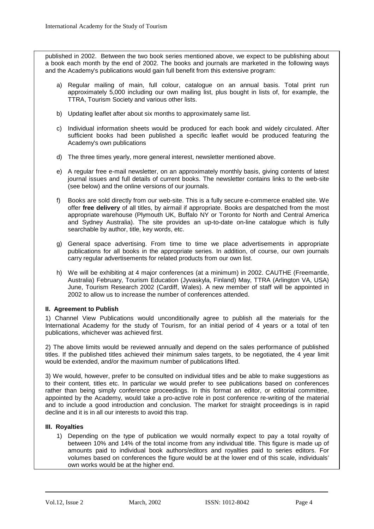published in 2002. Between the two book series mentioned above, we expect to be publishing about a book each month by the end of 2002. The books and journals are marketed in the following ways and the Academy's publications would gain full benefit from this extensive program:

- a) Regular mailing of main, full colour, catalogue on an annual basis. Total print run approximately 5,000 including our own mailing list, plus bought in lists of, for example, the TTRA, Tourism Society and various other lists.
- b) Updating leaflet after about six months to approximately same list.
- c) Individual information sheets would be produced for each book and widely circulated. After sufficient books had been published a specific leaflet would be produced featuring the Academy's own publications
- d) The three times yearly, more general interest, newsletter mentioned above.
- e) A regular free e-mail newsletter, on an approximately monthly basis, giving contents of latest journal issues and full details of current books. The newsletter contains links to the web-site (see below) and the online versions of our journals.
- f) Books are sold directly from our web-site. This is a fully secure e-commerce enabled site. We offer **free delivery** of all titles, by airmail if appropriate. Books are despatched from the most appropriate warehouse (Plymouth UK, Buffalo NY or Toronto for North and Central America and Sydney Australia). The site provides an up-to-date on-line catalogue which is fully searchable by author, title, key words, etc.
- g) General space advertising. From time to time we place advertisements in appropriate publications for all books in the appropriate series. In addition, of course, our own journals carry regular advertisements for related products from our own list.
- h) We will be exhibiting at 4 major conferences (at a minimum) in 2002. CAUTHE (Freemantle, Australia) February, Tourism Education (Jyvaskyla, Finland) May, TTRA (Arlington VA, USA) June, Tourism Research 2002 (Cardiff, Wales). A new member of staff will be appointed in 2002 to allow us to increase the number of conferences attended.

#### **II. Agreement to Publish**

1) Channel View Publications would unconditionally agree to publish all the materials for the International Academy for the study of Tourism, for an initial period of 4 years or a total of ten publications, whichever was achieved first.

2) The above limits would be reviewed annually and depend on the sales performance of published titles. If the published titles achieved their minimum sales targets, to be negotiated, the 4 year limit would be extended, and/or the maximum number of publications lifted.

3) We would, however, prefer to be consulted on individual titles and be able to make suggestions as to their content, titles etc. In particular we would prefer to see publications based on conferences rather than being simply conference proceedings. In this format an editor, or editorial committee, appointed by the Academy, would take a pro-active role in post conference re-writing of the material and to include a good introduction and conclusion. The market for straight proceedings is in rapid decline and it is in all our interests to avoid this trap.

#### **III. Royalties**

1) Depending on the type of publication we would normally expect to pay a total royalty of between 10% and 14% of the total income from any individual title. This figure is made up of amounts paid to individual book authors/editors and royalties paid to series editors. For volumes based on conferences the figure would be at the lower end of this scale, individuals' own works would be at the higher end.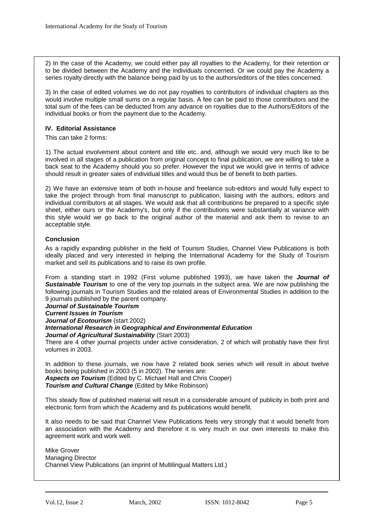2) In the case of the Academy, we could either pay all royalties to the Academy, for their retention or to be divided between the Academy and the individuals concerned. Or we could pay the Academy a series royalty directly with the balance being paid by us to the authors/editors of the titles concerned.

3) In the case of edited volumes we do not pay royalties to contributors of individual chapters as this would involve multiple small sums on a regular basis. A fee can be paid to those contributors and the total sum of the fees can be deducted from any advance on royalties due to the Authors/Editors of the individual books or from the payment due to the Academy.

#### **IV. Editorial Assistance**

This can take 2 forms:

1) The actual involvement about content and title etc. and, although we would very much like to be involved in all stages of a publication from original concept to final publication, we are willing to take a back seat to the Academy should you so prefer. However the input we would give in terms of advice should result in greater sales of individual titles and would thus be of benefit to both parties.

2) We have an extensive team of both in-house and freelance sub-editors and would fully expect to take the project through from final manuscript to publication, liaising with the authors, editors and individual contributors at all stages. We would ask that all contributions be prepared to a specific style sheet, either ours or the Academy's, but only if the contributions were substantially at variance with this style would we go back to the original author of the material and ask them to revise to an acceptable style.

#### **Conclusion**

As a rapidly expanding publisher in the field of Tourism Studies, Channel View Publications is both ideally placed and very interested in helping the International Academy for the Study of Tourism market and sell its publications and to raise its own profile.

From a standing start in 1992 (First volume published 1993), we have taken the *Journal of*  **Sustainable Tourism** to one of the very top journals in the subject area. We are now publishing the following journals in Tourism Studies and the related areas of Environmental Studies in addition to the 9 journals published by the parent company.

*Journal of Sustainable Tourism* 

*Current Issues in Tourism* 

*Journal of Ecotourism* (start 2002)

#### *International Research in Geographical and Environmental Education*

*Journal of Agricultural Sustainability* (Start 2003)

There are 4 other journal projects under active consideration, 2 of which will probably have their first volumes in 2003.

In addition to these journals, we now have 2 related book series which will result in about twelve books being published in 2003 (5 in 2002). The series are:

*Aspects on Tourism* (Edited by C. Michael Hall and Chris Cooper) *Tourism and Cultural Change* (Edited by Mike Robinson)

This steady flow of published material will result in a considerable amount of publicity in both print and electronic form from which the Academy and its publications would benefit.

It also needs to be said that Channel View Publications feels very strongly that it would benefit from an association with the Academy and therefore it is very much in our own interests to make this agreement work and work well.

Mike Grover Managing Director Channel View Publications (an imprint of Multilingual Matters Ltd.)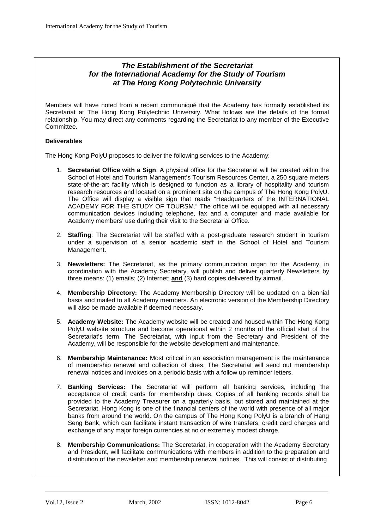#### *The Establishment of the Secretariat for the International Academy for the Study of Tourism at The Hong Kong Polytechnic University*

Members will have noted from a recent communiqué that the Academy has formally established its Secretariat at The Hong Kong Polytechnic University. What follows are the details of the formal relationship. You may direct any comments regarding the Secretariat to any member of the Executive Committee.

#### **Deliverables**

The Hong Kong PolyU proposes to deliver the following services to the Academy:

- 1. **Secretariat Office with a Sign**: A physical office for the Secretariat will be created within the School of Hotel and Tourism Management's Tourism Resources Center, a 250 square meters state-of-the-art facility which is designed to function as a library of hospitality and tourism research resources and located on a prominent site on the campus of The Hong Kong PolyU. The Office will display a visible sign that reads "Headquarters of the INTERNATIONAL ACADEMY FOR THE STUDY OF TOURSM." The office will be equipped with all necessary communication devices including telephone, fax and a computer and made available for Academy members' use during their visit to the Secretarial Office.
- 2. **Staffing**: The Secretariat will be staffed with a post-graduate research student in tourism under a supervision of a senior academic staff in the School of Hotel and Tourism Management.
- 3. **Newsletters:** The Secretariat, as the primary communication organ for the Academy, in coordination with the Academy Secretary, will publish and deliver quarterly Newsletters by three means: (1) emails; (2) Internet; **and** (3) hard copies delivered by airmail.
- 4. **Membership Directory:** The Academy Membership Directory will be updated on a biennial basis and mailed to all Academy members. An electronic version of the Membership Directory will also be made available if deemed necessary.
- 5. **Academy Website:** The Academy website will be created and housed within The Hong Kong PolyU website structure and become operational within 2 months of the official start of the Secretariat's term. The Secretariat, with input from the Secretary and President of the Academy, will be responsible for the website development and maintenance.
- 6. **Membership Maintenance:** Most critical in an association management is the maintenance of membership renewal and collection of dues. The Secretariat will send out membership renewal notices and invoices on a periodic basis with a follow up reminder letters.
- 7. **Banking Services:** The Secretariat will perform all banking services, including the acceptance of credit cards for membership dues. Copies of all banking records shall be provided to the Academy Treasurer on a quarterly basis, but stored and maintained at the Secretariat. Hong Kong is one of the financial centers of the world with presence of all major banks from around the world. On the campus of The Hong Kong PolyU is a branch of Hang Seng Bank, which can facilitate instant transaction of wire transfers, credit card charges and exchange of any major foreign currencies at no or extremely modest charge.
- 8. **Membership Communications:** The Secretariat, in cooperation with the Academy Secretary and President, will facilitate communications with members in addition to the preparation and distribution of the newsletter and membership renewal notices. This will consist of distributing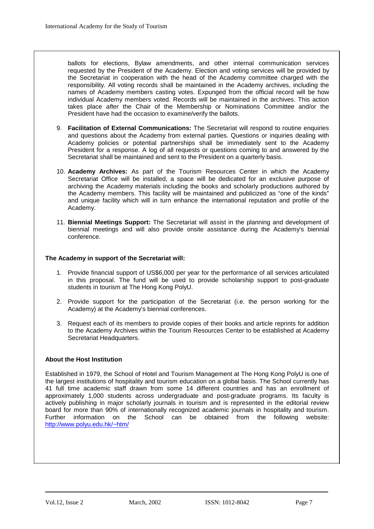ballots for elections, Bylaw amendments, and other internal communication services requested by the President of the Academy. Election and voting services will be provided by the Secretariat in cooperation with the head of the Academy committee charged with the responsibility. All voting records shall be maintained in the Academy archives, including the names of Academy members casting votes. Expunged from the official record will be how individual Academy members voted. Records will be maintained in the archives. This action takes place *after* the Chair of the Membership or Nominations Committee and/or the President have had the occasion to examine/verify the ballots.

- 9. **Facilitation of External Communications:** The Secretariat will respond to routine enquiries and questions about the Academy from external parties. Questions or inquiries dealing with Academy policies or potential partnerships shall be immediately sent to the Academy President for a response. A log of all requests or questions coming to and answered by the Secretariat shall be maintained and sent to the President on a quarterly basis.
- 10. **Academy Archives:** As part of the Tourism Resources Center in which the Academy Secretariat Office will be installed, a space will be dedicated for an exclusive purpose of archiving the Academy materials including the books and scholarly productions authored by the Academy members. This facility will be maintained and publicized as "one of the kinds" and unique facility which will in turn enhance the international reputation and profile of the Academy.
- 11. **Biennial Meetings Support:** The Secretariat will assist in the planning and development of biennial meetings and will also provide onsite assistance during the Academy's biennial conference.

#### **The Academy in support of the Secretariat will:**

- 1. Provide financial support of US\$6,000 per year for the performance of all services articulated in this proposal. The fund will be used to provide scholarship support to post-graduate students in tourism at The Hong Kong PolyU.
- 2. Provide support for the participation of the Secretariat (i.e. the person working for the Academy) at the Academy's biennial conferences.
- 3. Request each of its members to provide copies of their books and article reprints for addition to the Academy Archives within the Tourism Resources Center to be established at Academy Secretariat Headquarters.

#### **About the Host Institution**

Established in 1979, the School of Hotel and Tourism Management at The Hong Kong PolyU is one of the largest institutions of hospitality and tourism education on a global basis. The School currently has 41 full time academic staff drawn from some 14 different countries and has an enrollment of approximately 1,000 students across undergraduate and post-graduate programs. Its faculty is actively publishing in major scholarly journals in tourism and is represented in the editorial review board for more than 90% of internationally recognized academic journals in hospitality and tourism. Further information on the School can be obtained from the following website: http://www.polyu.edu.hk/~htm/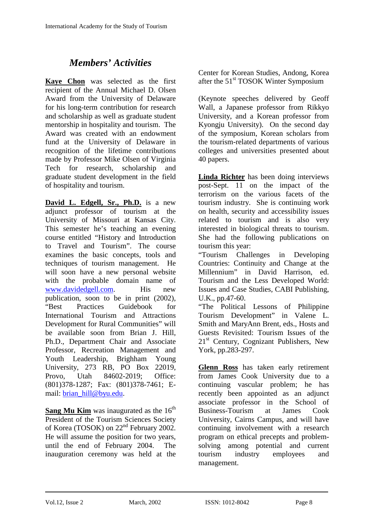# *Members' Activities*

**Kaye Chon** was selected as the first recipient of the Annual Michael D. Olsen Award from the University of Delaware for his long-term contribution for research and scholarship as well as graduate student mentorship in hospitality and tourism. The Award was created with an endowment fund at the University of Delaware in recognition of the lifetime contributions made by Professor Mike Olsen of Virginia Tech for research, scholarship and graduate student development in the field of hospitality and tourism.

**David L. Edgell, Sr., Ph.D.** is a new adjunct professor of tourism at the University of Missouri at Kansas City. This semester he's teaching an evening course entitled "History and Introduction to Travel and Tourism". The course examines the basic concepts, tools and techniques of tourism management. He will soon have a new personal website with the probable domain name of www.davidedgell.com. His new publication, soon to be in print (2002), "Best Practices Guidebook for International Tourism and Attractions Development for Rural Communities" will be available soon from Brian J. Hill, Ph.D., Department Chair and Associate Professor, Recreation Management and Youth Leadership, Brighham Young University, 273 RB, PO Box 22019, Provo, Utah 84602-2019; Office: (801)378-1287; Fax: (801)378-7461; Email: brian\_hill@byu.edu.

**Sang Mu Kim** was inaugurated as the 16<sup>th</sup> President of the Tourism Sciences Society of Korea (TOSOK) on 22<sup>nd</sup> February 2002. He will assume the position for two years, until the end of February 2004. The inauguration ceremony was held at the

Center for Korean Studies, Andong, Korea after the 51<sup>st</sup> TOSOK Winter Symposium

(Keynote speeches delivered by Geoff Wall, a Japanese professor from Rikkyo University, and a Korean professor from Kyongju University). On the second day of the symposium, Korean scholars from the tourism-related departments of various colleges and universities presented about 40 papers.

**Linda Richter** has been doing interviews post-Sept. 11 on the impact of the terrorism on the various facets of the tourism industry. She is continuing work on health, security and accessibility issues related to tourism and is also very interested in biological threats to tourism. She had the following publications on tourism this year:

"Tourism Challenges in Developing Countries: Continuity and Change at the Millennium" in David Harrison, ed. Tourism and the Less Developed World: Issues and Case Studies, CABI Publishing, U.K., pp.47-60.

"The Political Lessons of Philippine Tourism Development" in Valene L. Smith and MaryAnn Brent, eds., Hosts and Guests Revisited: Tourism Issues of the 21<sup>st</sup> Century, Cognizant Publishers, New York, pp.283-297.

**Glenn Ross** has taken early retirement from James Cook University due to a continuing vascular problem; he has recently been appointed as an adjunct associate professor in the School of Business-Tourism at James Cook University, Cairns Campus, and will have continuing involvement with a research program on ethical precepts and problemsolving among potential and current tourism industry employees and management.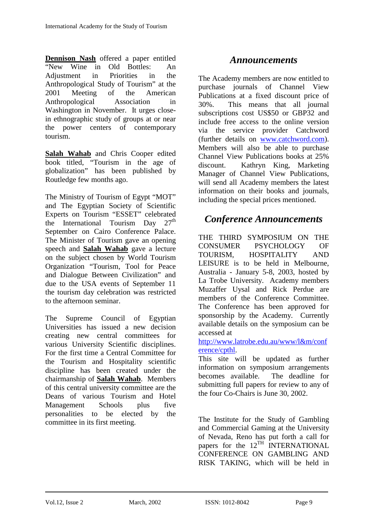**Dennison Nash** offered a paper entitled "New Wine in Old Bottles: An Adjustment in Priorities in the Anthropological Study of Tourism" at the 2001 Meeting of the American Anthropological Association in Washington in November. It urges closein ethnographic study of groups at or near the power centers of contemporary tourism.

**Salah Wahab** and Chris Cooper edited book titled, "Tourism in the age of globalization" has been published by Routledge few months ago.

The Ministry of Tourism of Egypt "MOT" and The Egyptian Society of Scientific Experts on Tourism "ESSET" celebrated<br>the International Tourism Day 27<sup>th</sup> the International Tourism Day September on Cairo Conference Palace. The Minister of Tourism gave an opening speech and **Salah Wahab** gave a lecture on the subject chosen by World Tourism Organization "Tourism, Tool for Peace and Dialogue Between Civilization" and due to the USA events of September 11 the tourism day celebration was restricted to the afternoon seminar.

The Supreme Council of Egyptian Universities has issued a new decision creating new central committees for various University Scientific disciplines. For the first time a Central Committee for the Tourism and Hospitality scientific discipline has been created under the chairmanship of **Salah Wahab**. Members of this central university committee are the Deans of various Tourism and Hotel Management Schools plus five personalities to be elected by the committee in its first meeting.

### *Announcements*

The Academy members are now entitled to purchase journals of Channel View Publications at a fixed discount price of 30%. This means that all journal subscriptions cost US\$50 or GBP32 and include free access to the online version via the service provider Catchword (further details on www.catchword.com). Members will also be able to purchase Channel View Publications books at 25% discount. Kathryn King, Marketing Manager of Channel View Publications, will send all Academy members the latest information on their books and journals, including the special prices mentioned.

### *Conference Announcements*

THE THIRD SYMPOSIUM ON THE CONSUMER PSYCHOLOGY OF TOURISM, HOSPITALITY AND LEISURE is to be held in Melbourne, Australia - January 5-8, 2003, hosted by La Trobe University. Academy members Muzaffer Uysal and Rick Perdue are members of the Conference Committee. The Conference has been approved for sponsorship by the Academy. Currently available details on the symposium can be accessed at

http://www.latrobe.edu.au/www/l&m/conf erence/cpthl.

This site will be updated as further information on symposium arrangements becomes available. The deadline for submitting full papers for review to any of the four Co-Chairs is June 30, 2002.

The Institute for the Study of Gambling and Commercial Gaming at the University of Nevada, Reno has put forth a call for papers for the  $12^{TH}$  INTERNATIONAL CONFERENCE ON GAMBLING AND RISK TAKING, which will be held in